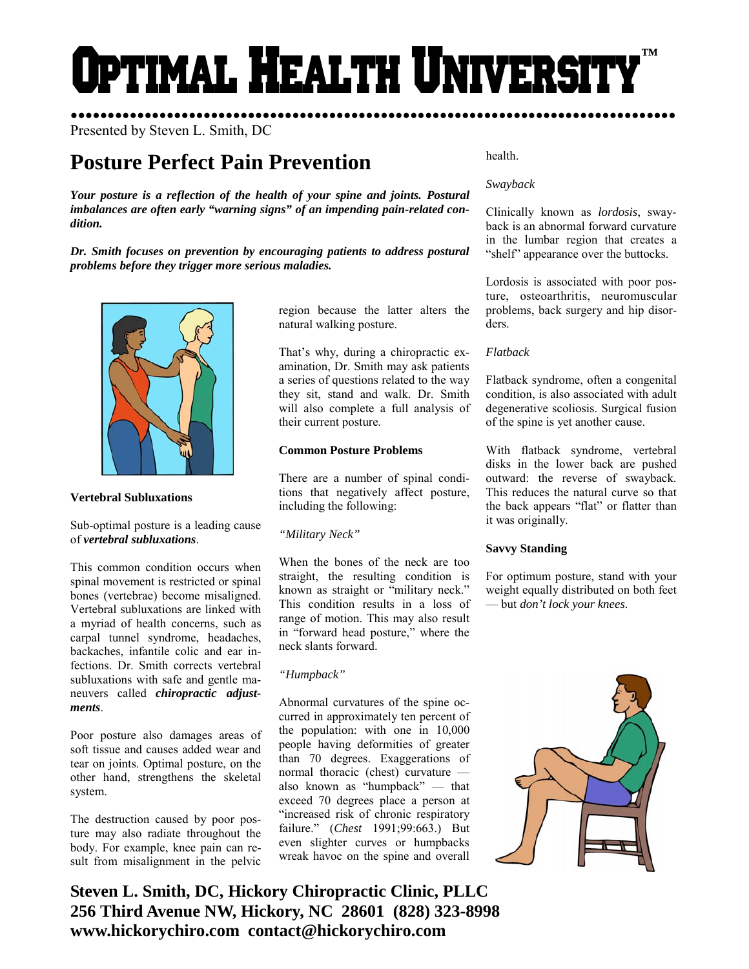# Optimal Health Universi **™**

region because the latter alters the

That's why, during a chiropractic examination, Dr. Smith may ask patients a series of questions related to the way they sit, stand and walk. Dr. Smith will also complete a full analysis of

There are a number of spinal conditions that negatively affect posture,

When the bones of the neck are too straight, the resulting condition is known as straight or "military neck." This condition results in a loss of range of motion. This may also result in "forward head posture," where the

Abnormal curvatures of the spine occurred in approximately ten percent of the population: with one in 10,000 people having deformities of greater than 70 degrees. Exaggerations of normal thoracic (chest) curvature also known as "humpback" — that exceed 70 degrees place a person at "increased risk of chronic respiratory failure." (*Chest* 1991;99:663.) But even slighter curves or humpbacks wreak havoc on the spine and overall

natural walking posture.

their current posture.

**Common Posture Problems** 

including the following:

*"Military Neck"* 

neck slants forward.

*"Humpback"* 

●●●●●●●●●●●●●●●●●●●●●●●●●●●●●●●●●●●●●●●●●●●●●●●●●●●●●●●●●●●●●●●●●●●●●●●●●●●●●●●●●● Presented by Steven L. Smith, DC

# **Posture Perfect Pain Prevention**

*Your posture is a reflection of the health of your spine and joints. Postural imbalances are often early "warning signs" of an impending pain-related condition.* 

*Dr. Smith focuses on prevention by encouraging patients to address postural problems before they trigger more serious maladies.* 



## **Vertebral Subluxations**

Sub-optimal posture is a leading cause of *vertebral subluxations*.

This common condition occurs when spinal movement is restricted or spinal bones (vertebrae) become misaligned. Vertebral subluxations are linked with a myriad of health concerns, such as carpal tunnel syndrome, headaches, backaches, infantile colic and ear infections. Dr. Smith corrects vertebral subluxations with safe and gentle maneuvers called *chiropractic adjustments*.

Poor posture also damages areas of soft tissue and causes added wear and tear on joints. Optimal posture, on the other hand, strengthens the skeletal system.

The destruction caused by poor posture may also radiate throughout the body. For example, knee pain can result from misalignment in the pelvic

**Steven L. Smith, DC, Hickory Chiropractic Clinic, PLLC 256 Third Avenue NW, Hickory, NC 28601 (828) 323-8998 www.hickorychiro.com contact@hickorychiro.com** 

health.

# *Swayback*

Clinically known as *lordosis*, swayback is an abnormal forward curvature in the lumbar region that creates a "shelf" appearance over the buttocks.

Lordosis is associated with poor posture, osteoarthritis, neuromuscular problems, back surgery and hip disorders.

# *Flatback*

Flatback syndrome, often a congenital condition, is also associated with adult degenerative scoliosis. Surgical fusion of the spine is yet another cause.

With flatback syndrome, vertebral disks in the lower back are pushed outward: the reverse of swayback. This reduces the natural curve so that the back appears "flat" or flatter than it was originally.

## **Savvy Standing**

For optimum posture, stand with your weight equally distributed on both feet — but *don't lock your knees*.